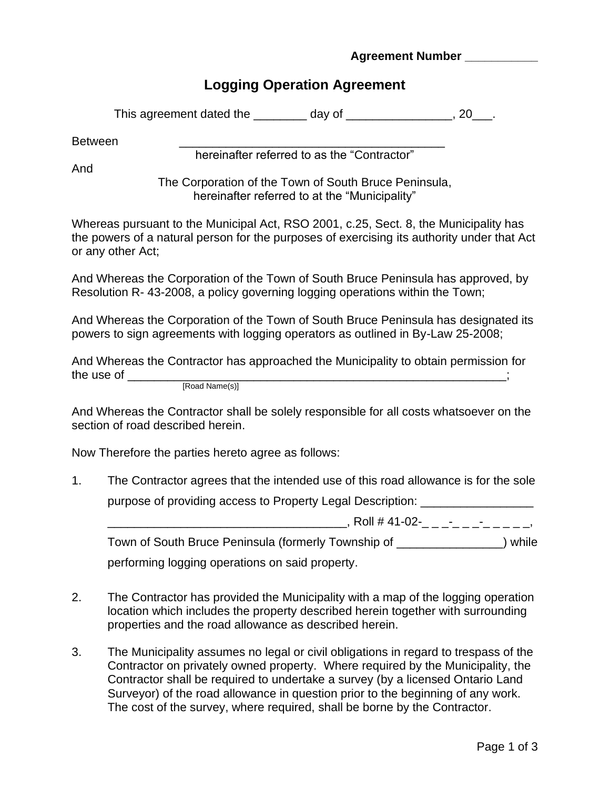## **Agreement Number**

## **Logging Operation Agreement**

Between \_\_\_\_\_\_\_\_\_\_\_\_\_\_\_\_\_\_\_\_\_\_\_\_\_\_\_\_\_\_\_\_\_\_\_\_\_\_\_\_

hereinafter referred to as the "Contractor"

And

The Corporation of the Town of South Bruce Peninsula, hereinafter referred to at the "Municipality"

Whereas pursuant to the Municipal Act, RSO 2001, c.25, Sect. 8, the Municipality has the powers of a natural person for the purposes of exercising its authority under that Act or any other Act;

And Whereas the Corporation of the Town of South Bruce Peninsula has approved, by Resolution R- 43-2008, a policy governing logging operations within the Town;

And Whereas the Corporation of the Town of South Bruce Peninsula has designated its powers to sign agreements with logging operators as outlined in By-Law 25-2008;

And Whereas the Contractor has approached the Municipality to obtain permission for the use of \_\_\_\_\_\_\_\_\_\_\_\_\_\_\_\_\_\_\_\_\_\_\_\_\_\_\_\_\_\_\_\_\_\_\_\_\_\_\_\_\_\_\_\_\_\_\_\_\_\_\_\_\_\_\_\_\_;

[Road Name(s)]

And Whereas the Contractor shall be solely responsible for all costs whatsoever on the section of road described herein.

Now Therefore the parties hereto agree as follows:

1. The Contractor agrees that the intended use of this road allowance is for the sole purpose of providing access to Property Legal Description:

 $\frac{1}{2}$  Roll # 41-02-\_ \_ \_ \_ \_ \_ \_ \_ \_ \_ \_ \_ \_

Town of South Bruce Peninsula (formerly Township of \_\_\_\_\_\_\_\_\_\_\_\_\_\_\_\_) while performing logging operations on said property.

- 2. The Contractor has provided the Municipality with a map of the logging operation location which includes the property described herein together with surrounding properties and the road allowance as described herein.
- 3. The Municipality assumes no legal or civil obligations in regard to trespass of the Contractor on privately owned property. Where required by the Municipality, the Contractor shall be required to undertake a survey (by a licensed Ontario Land Surveyor) of the road allowance in question prior to the beginning of any work. The cost of the survey, where required, shall be borne by the Contractor.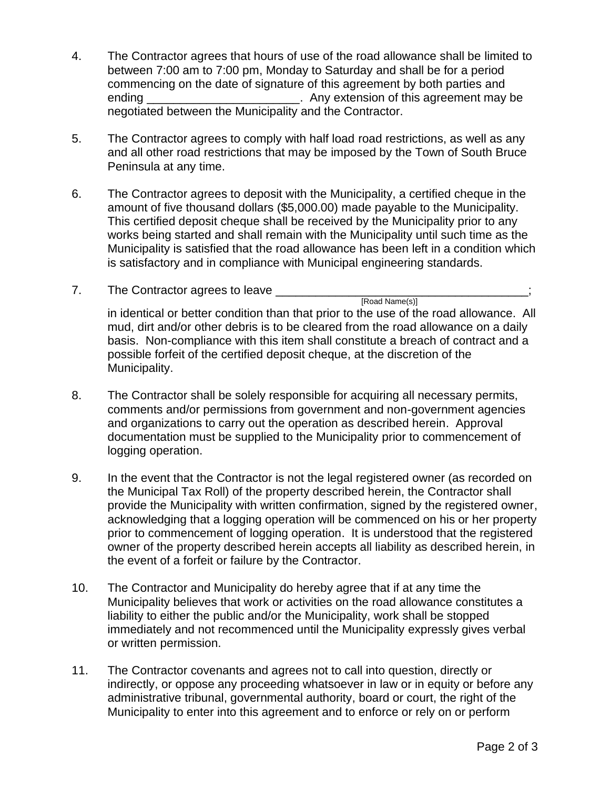- 4. The Contractor agrees that hours of use of the road allowance shall be limited to between 7:00 am to 7:00 pm, Monday to Saturday and shall be for a period commencing on the date of signature of this agreement by both parties and ending **Example 2.** Any extension of this agreement may be negotiated between the Municipality and the Contractor.
- 5. The Contractor agrees to comply with half load road restrictions, as well as any and all other road restrictions that may be imposed by the Town of South Bruce Peninsula at any time.
- 6. The Contractor agrees to deposit with the Municipality, a certified cheque in the amount of five thousand dollars (\$5,000.00) made payable to the Municipality. This certified deposit cheque shall be received by the Municipality prior to any works being started and shall remain with the Municipality until such time as the Municipality is satisfied that the road allowance has been left in a condition which is satisfactory and in compliance with Municipal engineering standards.
- 7. The Contractor agrees to leave \_\_\_\_\_\_\_ [Road Name(s)] in identical or better condition than that prior to the use of the road allowance. All mud, dirt and/or other debris is to be cleared from the road allowance on a daily basis. Non-compliance with this item shall constitute a breach of contract and a possible forfeit of the certified deposit cheque, at the discretion of the Municipality.
- 8. The Contractor shall be solely responsible for acquiring all necessary permits, comments and/or permissions from government and non-government agencies and organizations to carry out the operation as described herein. Approval documentation must be supplied to the Municipality prior to commencement of logging operation.
- 9. In the event that the Contractor is not the legal registered owner (as recorded on the Municipal Tax Roll) of the property described herein, the Contractor shall provide the Municipality with written confirmation, signed by the registered owner, acknowledging that a logging operation will be commenced on his or her property prior to commencement of logging operation. It is understood that the registered owner of the property described herein accepts all liability as described herein, in the event of a forfeit or failure by the Contractor.
- 10. The Contractor and Municipality do hereby agree that if at any time the Municipality believes that work or activities on the road allowance constitutes a liability to either the public and/or the Municipality, work shall be stopped immediately and not recommenced until the Municipality expressly gives verbal or written permission.
- 11. The Contractor covenants and agrees not to call into question, directly or indirectly, or oppose any proceeding whatsoever in law or in equity or before any administrative tribunal, governmental authority, board or court, the right of the Municipality to enter into this agreement and to enforce or rely on or perform